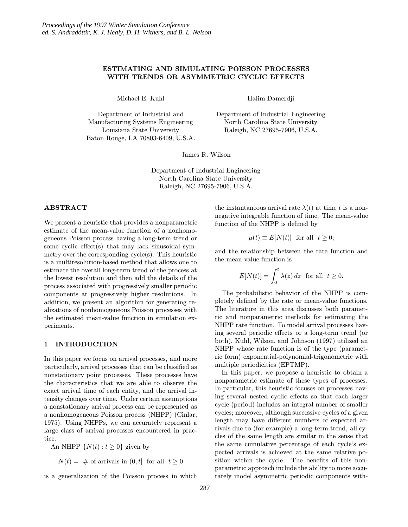# ESTIMATING AND SIMULATING POISSON PROCESSES WITH TRENDS OR ASYMMETRIC CYCLIC EFFECTS

Michael E. Kuhl

Department of Industrial and Manufacturing Systems Engineering Louisiana State University Baton Rouge, LA 70803-6409, U.S.A. Halim Damerdji

Department of Industrial Engineering North Carolina State University Raleigh, NC 27695-7906, U.S.A.

James R. Wilson

Department of Industrial Engineering North Carolina State University Raleigh, NC 27695-7906, U.S.A.

# ABSTRACT

We present a heuristic that provides a nonparametric estimate of the mean-value function of a nonhomogeneous Poisson process having a long-term trend or some cyclic effect(s) that may lack sinusoidal symmetry over the corresponding cycle(s). This heuristic is a multiresolution-based method that allows one to estimate the overall long-term trend of the process at the lowest resolution and then add the details of the process associated with progressively smaller periodic components at progressively higher resolutions. In addition, we present an algorithm for generating realizations of nonhomogeneous Poisson processes with the estimated mean-value function in simulation experiments.

## 1 INTRODUCTION

In this paper we focus on arrival processes, and more particularly, arrival processes that can be classified as nonstationary point processes. These processes have the characteristics that we are able to observe the exact arrival time of each entity, and the arrival intensity changes over time. Under certain assumptions a nonstationary arrival process can be represented as a nonhomogeneous Poisson process (NHPP) (Cinlar, 1975). Using NHPPs, we can accurately represent a large class of arrival processes encountered in practice.

An NHPP  $\{N(t): t \geq 0\}$  given by

 $N(t) = #$  of arrivals in  $(0, t]$  for all  $t \geq 0$ 

is a generalization of the Poisson process in which

the instantaneous arrival rate  $\lambda(t)$  at time t is a nonnegative integrable function of time. The mean-value function of the NHPP is defined by

$$
\mu(t) \equiv E[N(t)] \text{ for all } t \ge 0;
$$

and the relationship between the rate function and the mean-value function is

$$
E[N(t)] = \int_0^t \lambda(z) dz \text{ for all } t \ge 0.
$$

The probabilistic behavior of the NHPP is completely defined by the rate or mean-value functions. The literature in this area discusses both parametric and nonparametric methods for estimating the NHPP rate function. To model arrival processes having several periodic effects or a long-term trend (or both), Kuhl, Wilson, and Johnson (1997) utilized an NHPP whose rate function is of the type (parametric form) exponential-polynomial-trigonometric with multiple periodicities (EPTMP).

In this paper, we propose a heuristic to obtain a nonparametric estimate of these types of processes. In particular, this heuristic focuses on processes having several nested cyclic effects so that each larger cycle (period) includes an integral number of smaller cycles; moreover, although successive cycles of a given length may have different numbers of expected arrivals due to (for example) a long-term trend, all cycles of the same length are similar in the sense that the same cumulative percentage of each cycle's expected arrivals is achieved at the same relative position within the cycle. The benefits of this nonparametric approach include the ability to more accurately model asymmetric periodic components with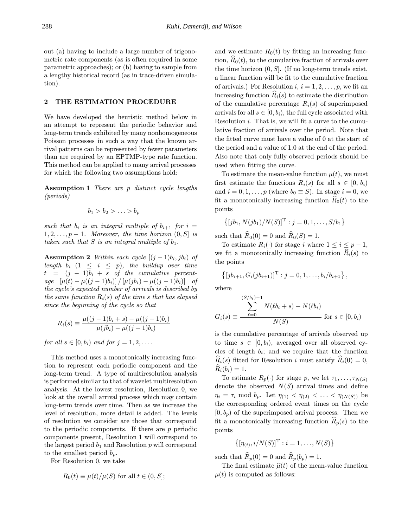out (a) having to include a large number of trigonometric rate components (as is often required in some parametric approaches); or (b) having to sample from a lengthy historical record (as in trace-driven simulation).

# 2 THE ESTIMATION PROCEDURE

We have developed the heuristic method below in an attempt to represent the periodic behavior and long-term trends exhibited by many nonhomogeneous Poisson processes in such a way that the known arrival patterns can be represented by fewer parameters than are required by an EPTMP-type rate function. This method can be applied to many arrival processes for which the following two assumptions hold:

Assumption 1 There are p distinct cycle lengths (periods)

$$
b_1 > b_2 > \ldots > b_p
$$

such that  $b_i$  is an integral multiple of  $b_{i+1}$  for  $i =$  $1, 2, \ldots, p-1$ . Moreover, the time horizon  $(0, S]$  is taken such that  $S$  is an integral multiple of  $b_1$ .

**Assumption 2** Within each cycle  $[(j-1)b_i, jb_i)$  of length  $b_i$   $(1 \leq i \leq p)$ , the buildup over time  $t = (j - 1)b_i + s$  of the cumulative percentage  $[\mu(t) - \mu((j-1)b_i)] / [\mu(jb_i) - \mu((j-1)b_i)]$  of the cycle's expected number of arrivals is described by the same function  $R_i(s)$  of the time s that has elapsed since the beginning of the cycle so that

$$
R_i(s) \equiv \frac{\mu((j-1)b_i + s) - \mu((j-1)b_i)}{\mu(jb_i) - \mu((j-1)b_i)}
$$

for all  $s \in [0, b_i)$  and for  $j = 1, 2, \ldots$ .

This method uses a monotonically increasing function to represent each periodic component and the long-term trend. A type of multiresolution analysis is performed similar to that of wavelet multiresolution analysis. At the lowest resolution, Resolution 0, we look at the overall arrival process which may contain long-term trends over time. Then as we increase the level of resolution, more detail is added. The levels of resolution we consider are those that correspond to the periodic components. If there are p periodic components present, Resolution 1 will correspond to the largest period  $b_1$  and Resolution  $p$  will correspond to the smallest period  $b_p$ .

For Resolution 0, we take

$$
R_0(t) \equiv \mu(t)/\mu(S)
$$
 for all  $t \in (0, S];$ 

and we estimate  $R_0(t)$  by fitting an increasing function,  $R_0(t)$ , to the cumulative fraction of arrivals over the time horizon  $(0, S]$ . (If no long-term trends exist, a linear function will be fit to the cumulative fraction of arrivals.) For Resolution  $i, i = 1, 2, \ldots, p$ , we fit an increasing function  $\widehat{R}_i(s)$  to estimate the distribution of the cumulative percentage  $R_i(s)$  of superimposed arrivals for all  $s \in [0, b_i)$ , the full cycle associated with Resolution i. That is, we will fit a curve to the cumulative fraction of arrivals over the period. Note that the fitted curve must have a value of 0 at the start of the period and a value of 1.0 at the end of the period. Also note that only fully observed periods should be used when fitting the curve.

To estimate the mean-value function  $\mu(t)$ , we must first estimate the functions  $R_i(s)$  for all  $s \in [0, b_i)$ and  $i = 0, 1, \ldots, p$  (where  $b_0 \equiv S$ ). In stage  $i = 0$ , we fit a monotonically increasing function  $R_0(t)$  to the points

$$
\{[jb_1, N(jb_1)/N(S)]^T : j = 0, 1, ..., S/b_1\}
$$

such that  $\widehat{R}_0(0) = 0$  and  $\widehat{R}_0(S) = 1$ .

To estimate  $R_i(\cdot)$  for stage i where  $1 \leq i \leq p-1$ , we fit a monotonically increasing function  $\hat{R}_i(s)$  to the points

$$
\{[jb_{i+1}, G_i(jb_{i+1})]^{\mathrm{T}} : j = 0, 1, \ldots, b_i/b_{i+1}\},\
$$

where

$$
G_i(s) \equiv \frac{\displaystyle\sum_{\ell=0}^{(S/b_i)-1} N(\ell b_i + s) - N(\ell b_i)}{N(S)} \text{ for } s \in [0,b_i)
$$

is the cumulative percentage of arrivals observed up to time  $s \in [0, b_i)$ , averaged over all observed cycles of length  $b_i$ ; and we require that the function  $R_i(s)$  fitted for Resolution i must satisfy  $\hat{R}_i(0) = 0$ ,  $R_i(b_i) = 1.$ 

To estimate  $R_p(\cdot)$  for stage p, we let  $\tau_1,\ldots,\tau_{N(S)}$ denote the observed  $N(S)$  arrival times and define  $\eta_i = \tau_i \mod b_p$ . Let  $\eta_{(1)} < \eta_{(2)} < \ldots < \eta_{(N(S))}$  be the corresponding ordered event times on the cycle  $[0, b_p)$  of the superimposed arrival process. Then we fit a monotonically increasing function  $R_p(s)$  to the points

$$
\left\{[\eta_{(i)}, i/N(S)]^{\mathrm{T}} : i = 1, \ldots, N(S)\right\}
$$

such that  $\widehat{R}_p(0) = 0$  and  $\widehat{R}_p(b_p) = 1$ .

The final estimate  $\hat{\mu}(t)$  of the mean-value function  $\mu(t)$  is computed as follows: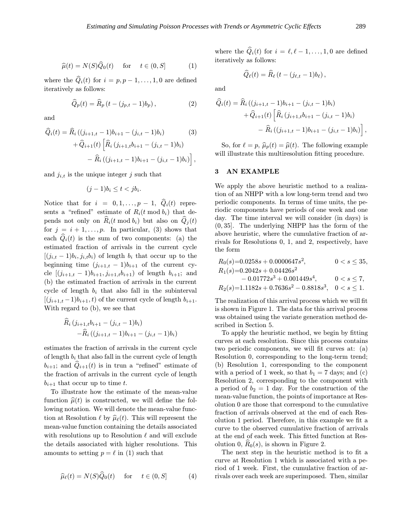$$
\widehat{\mu}(t) = N(S)\widehat{Q}_0(t) \quad \text{for} \quad t \in (0, S] \tag{1}
$$

where the  $\hat{Q}_i(t)$  for  $i = p, p - 1, \ldots, 1, 0$  are defined iteratively as follows:

$$
\widehat{Q}_p(t) = \widehat{R}_p(t - (j_{p,t} - 1)b_p), \qquad (2)
$$

and

$$
\widehat{Q}_i(t) = \widehat{R}_i \left( (j_{i+1,t} - 1)b_{i+1} - (j_{i,t} - 1)b_i \right) \qquad (3)
$$

$$
+ \widehat{Q}_{i+1}(t) \left[ \widehat{R}_i \left( j_{i+1,t} b_{i+1} - (j_{i,t} - 1)b_i \right) \right. \\ - \widehat{R}_i \left( (j_{i+1,t} - 1)b_{i+1} - (j_{i,t} - 1)b_i \right) \right],
$$

and  $j_{i,t}$  is the unique integer j such that

$$
(j-1)b_i \le t < jb_i.
$$

Notice that for  $i = 0, 1, \ldots, p - 1, \quad \widehat{Q}_i(t)$  represents a "refined" estimate of  $R_i(t \mod b_i)$  that depends not only on  $\hat{R}_i(t \mod b_i)$  but also on  $\hat{Q}_i(t)$ for  $j = i + 1, \ldots, p$ . In particular, (3) shows that each  $\hat{Q}_i(t)$  is the sum of two components: (a) the estimated fraction of arrivals in the current cycle  $[(j_{i,t}-1)b_i, j_{i,t}b_i]$  of length  $b_i$  that occur up to the beginning time  $(j_{i+1,t} - 1)b_{i+1}$  of the current cycle  $[(j_{i+1,t}-1)b_{i+1}, j_{i+1,t}b_{i+1}]$  of length  $b_{i+1}$ ; and (b) the estimated fraction of arrivals in the current cycle of length  $b_i$  that also fall in the subinterval  $[(j_{i+1,t}-1)b_{i+1},t)$  of the current cycle of length  $b_{i+1}$ . With regard to (b), we see that

$$
\overline{R}_i (j_{i+1,t}b_{i+1} - (j_{i,t} - 1)b_i)
$$
  
-
$$
\overline{R}_i ((j_{i+1,t} - 1)b_{i+1} - (j_{i,t} - 1)b_i)
$$

estimates the fraction of arrivals in the current cycle of length  $b_i$  that also fall in the current cycle of length  $b_{i+1}$ ; and  $\ddot{Q}_{i+1}(t)$  is in trun a "refined" estimate of the fraction of arrivals in the current cycle of length  $b_{i+1}$  that occur up to time t.

To illustrate how the estimate of the mean-value function  $\hat{\mu}(t)$  is constructed, we will define the following notation. We will denote the mean-value function at Resolution  $\ell$  by  $\widehat{\mu}_{\ell}(t)$ . This will represent the mean-value function containing the details associated with resolutions up to Resolution  $\ell$  and will exclude the details associated with higher resolutions. This amounts to setting  $p = \ell$  in (1) such that

$$
\widehat{\mu}_{\ell}(t) = N(S)\widehat{Q}_0(t) \quad \text{for} \quad t \in (0, S] \tag{4}
$$

where the  $\hat{Q}_i(t)$  for  $i = \ell, \ell - 1, \ldots, 1, 0$  are defined iteratively as follows:

$$
\widehat{Q}_{\ell}(t)=\widehat{R}_{\ell}\left(t-(j_{\ell,t}-1)b_{\ell}\right),\,
$$

and

$$
\begin{aligned} \widehat{Q}_i(t) &= \widehat{R}_i \left( (j_{i+1,t} - 1)b_{i+1} - (j_{i,t} - 1)b_i \right) \\ &+ \widehat{Q}_{i+1}(t) \left[ \widehat{R}_i \left( j_{i+1,t} b_{i+1} - (j_{i,t} - 1)b_i \right) \right. \\ &\quad - \widehat{R}_i \left( (j_{i+1,t} - 1)b_{i+1} - (j_{i,t} - 1)b_i \right) \right], \end{aligned}
$$

So, for  $\ell = p$ ,  $\widehat{\mu}_p(t) = \widehat{\mu}(t)$ . The following example will illustrate this multiresolution fitting procedure.

### 3 AN EXAMPLE

We apply the above heuristic method to a realization of an NHPP with a low long-term trend and two periodic components. In terms of time units, the periodic components have periods of one week and one day. The time interval we will consider (in days) is (0, 35]. The underlying NHPP has the form of the above heuristic, where the cumulative fraction of arrivals for Resolutions 0, 1, and 2, respectively, have the form

$$
R_0(s)=0.0258s+0.0000647s^2, \qquad 0 < s \leq 35, \\ R_1(s)=0.2042s+0.04426s^2 \\ \qquad \qquad -0.01772s^3+0.001449s^4, \qquad 0 < s \leq 7, \\ R_2(s)=1.1182s+0.7636s^2-0.8818s^3, \quad 0 < s \leq 1.
$$

The realization of this arrival process which we will fit is shown in Figure 1. The data for this arrival process was obtained using the variate generation method described in Section 5.

To apply the heuristic method, we begin by fitting curves at each resolution. Since this process contains two periodic components, we will fit curves at: (a) Resolution 0, corresponding to the long-term trend; (b) Resolution 1, corresponding to the component with a period of 1 week, so that  $b_1 = 7$  days; and (c) Resolution 2, corresponding to the component with a period of  $b_2 = 1$  day. For the construction of the mean-value function, the points of importance at Resolution 0 are those that correspond to the cumulative fraction of arrivals observed at the end of each Resolution 1 period. Therefore, in this example we fit a curve to the observed cumulative fraction of arrivals at the end of each week. This fitted function at Resolution 0,  $R_0(s)$ , is shown in Figure 2.

The next step in the heuristic method is to fit a curve at Resolution 1 which is associated with a period of 1 week. First, the cumulative fraction of arrivals over each week are superimposed. Then, similar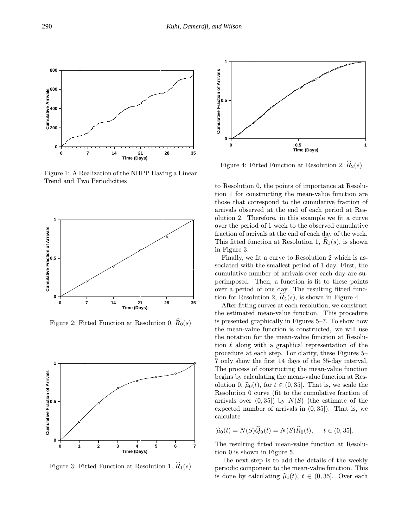

Figure 1: A Realization of the NHPP Having a Linear Trend and Two Periodicities



Figure 2: Fitted Function at Resolution 0,  $\widehat{R}_0(s)$ 



Figure 3: Fitted Function at Resolution 1,  $\widehat{R}_1(s)$ 



Figure 4: Fitted Function at Resolution 2,  $\widehat{R}_2(s)$ 

to Resolution 0, the points of importance at Resolution 1 for constructing the mean-value function are those that correspond to the cumulative fraction of arrivals observed at the end of each period at Resolution 2. Therefore, in this example we fit a curve over the period of 1 week to the observed cumulative fraction of arrivals at the end of each day of the week. This fitted function at Resolution 1,  $R_1(s)$ , is shown in Figure 3.

Finally, we fit a curve to Resolution 2 which is associated with the smallest period of 1 day. First, the cumulative number of arrivals over each day are superimposed. Then, a function is fit to these points over a period of one day. The resulting fitted function for Resolution 2,  $R_2(s)$ , is shown in Figure 4.

After fitting curves at each resolution, we construct the estimated mean-value function. This procedure is presented graphically in Figures 5–7. To show how the mean-value function is constructed, we will use the notation for the mean-value function at Resolution  $\ell$  along with a graphical representation of the procedure at each step. For clarity, these Figures 5– 7 only show the first 14 days of the 35-day interval. The process of constructing the mean-value function begins by calculating the mean-value function at Resolution 0,  $\hat{\mu}_0(t)$ , for  $t \in (0, 35]$ . That is, we scale the Resolution 0 curve (fit to the cumulative fraction of arrivals over  $(0, 35)$  by  $N(S)$  (the estimate of the expected number of arrivals in (0, 35]). That is, we calculate

$$
\widehat{\mu}_0(t) = N(S)\widehat{Q}_0(t) = N(S)\widehat{R}_0(t), \quad t \in (0, 35].
$$

The resulting fitted mean-value function at Resolution 0 is shown in Figure 5.

The next step is to add the details of the weekly periodic component to the mean-value function. This is done by calculating  $\hat{\mu}_1(t), t \in (0, 35]$ . Over each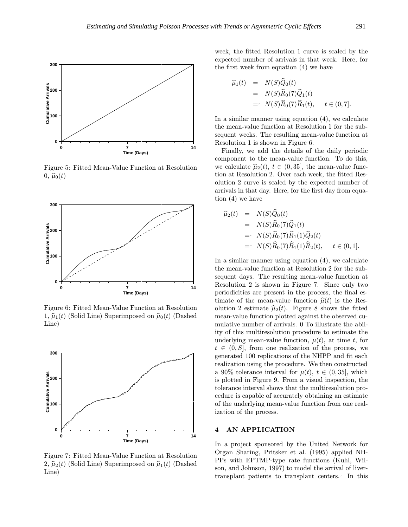

Figure 5: Fitted Mean-Value Function at Resolution  $0, \hat{\mu}_0(t)$ 



Figure 6: Fitted Mean-Value Function at Resolution 1,  $\hat{\mu}_1(t)$  (Solid Line) Superimposed on  $\hat{\mu}_0(t)$  (Dashed Line)



Figure 7: Fitted Mean-Value Function at Resolution 2,  $\hat{\mu}_2(t)$  (Solid Line) Superimposed on  $\hat{\mu}_1(t)$  (Dashed Line)

week, the fitted Resolution 1 curve is scaled by the expected number of arrivals in that week. Here, for the first week from equation (4) we have

$$
\begin{array}{rcl}\n\widehat{\mu}_1(t) & = & N(S)\widehat{Q}_0(t) \\
& = & N(S)\widehat{R}_0(7)\widehat{Q}_1(t) \\
& = & N(S)\widehat{R}_0(7)\widehat{R}_1(t), \quad t \in (0,7].\n\end{array}
$$

In a similar manner using equation (4), we calculate the mean-value function at Resolution 1 for the subsequent weeks. The resulting mean-value function at Resolution 1 is shown in Figure 6.

Finally, we add the details of the daily periodic component to the mean-value function. To do this, we calculate  $\hat{\mu}_2(t)$ ,  $t \in (0, 35]$ , the mean-value function at Resolution 2. Over each week, the fitted Resolution 2 curve is scaled by the expected number of arrivals in that day. Here, for the first day from equation (4) we have

$$
\begin{aligned}\n\widehat{\mu}_2(t) &= N(S)\widehat{Q}_0(t) \\
&= N(S)\widehat{R}_0(7)\widehat{Q}_1(t) \\
&= N(S)\widehat{R}_0(7)\widehat{R}_1(1)\widehat{Q}_2(t) \\
&= N(S)\widehat{R}_0(7)\widehat{R}_1(1)\widehat{R}_2(t), \quad t \in (0,1].\n\end{aligned}
$$

In a similar manner using equation (4), we calculate the mean-value function at Resolution 2 for the subsequent days. The resulting mean-value function at Resolution 2 is shown in Figure 7. Since only two periodicities are present in the process, the final estimate of the mean-value function  $\hat{\mu}(t)$  is the Resolution 2 estimate  $\hat{\mu}_2(t)$ . Figure 8 shows the fitted mean-value function plotted against the observed cumulative number of arrivals. 0 To illustrate the ability of this multiresolution procedure to estimate the underlying mean-value function,  $\mu(t)$ , at time t, for  $t \in (0, S]$ , from one realization of the process, we generated 100 replications of the NHPP and fit each realization using the procedure. We then constructed a 90% tolerance interval for  $\mu(t)$ ,  $t \in (0, 35]$ , which is plotted in Figure 9. From a visual inspection, the tolerance interval shows that the multiresolution procedure is capable of accurately obtaining an estimate of the underlying mean-value function from one realization of the process.

#### 4 AN APPLICATION

In a project sponsored by the United Network for Organ Sharing, Pritsker et al. (1995) applied NH-PPs with EPTMP-type rate functions (Kuhl, Wilson, and Johnson, 1997) to model the arrival of livertransplant patients to transplant centers. In this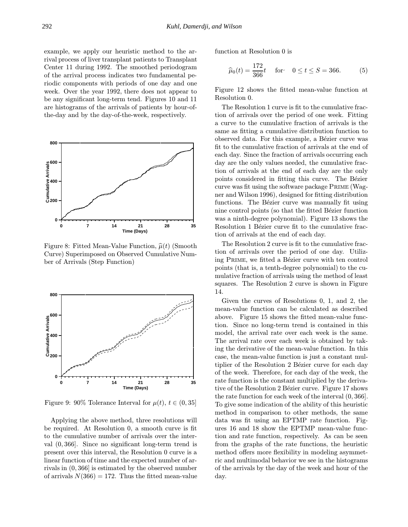example, we apply our heuristic method to the arrival process of liver transplant patients to Transplant Center 11 during 1992. The smoothed periodogram of the arrival process indicates two fundamental periodic components with periods of one day and one week. Over the year 1992, there does not appear to be any significant long-term tend. Figures 10 and 11 are histograms of the arrivals of patients by hour-ofthe-day and by the day-of-the-week, respectively.



Figure 8: Fitted Mean-Value Function,  $\hat{\mu}(t)$  (Smooth Curve) Superimposed on Observed Cumulative Number of Arrivals (Step Function)



Figure 9: 90% Tolerance Interval for  $\mu(t)$ ,  $t \in (0, 35]$ 

Applying the above method, three resolutions will be required. At Resolution 0, a smooth curve is fit to the cumulative number of arrivals over the interval (0, 366]. Since no significant long-term trend is present over this interval, the Resolution 0 curve is a linear function of time and the expected number of arrivals in (0, 366] is estimated by the observed number of arrivals  $N(366) = 172$ . Thus the fitted mean-value function at Resolution 0 is

$$
\widehat{\mu}_0(t) = \frac{172}{366}t \quad \text{for} \quad 0 \le t \le S = 366. \tag{5}
$$

Figure 12 shows the fitted mean-value function at Resolution 0.

The Resolution 1 curve is fit to the cumulative fraction of arrivals over the period of one week. Fitting a curve to the cumulative fraction of arrivals is the same as fitting a cumulative distribution function to observed data. For this example, a Bézier curve was fit to the cumulative fraction of arrivals at the end of each day. Since the fraction of arrivals occurring each day are the only values needed, the cumulative fraction of arrivals at the end of each day are the only points considered in fitting this curve. The Bézier curve was fit using the software package Prime (Wagner and Wilson 1996), designed for fitting distribution functions. The Bézier curve was manually fit using nine control points (so that the fitted Bézier function was a ninth-degree polynomial). Figure 13 shows the Resolution 1 Bézier curve fit to the cumulative fraction of arrivals at the end of each day.

The Resolution 2 curve is fit to the cumulative fraction of arrivals over the period of one day. Utilizing PRIME, we fitted a Bézier curve with ten control points (that is, a tenth-degree polynomial) to the cumulative fraction of arrivals using the method of least squares. The Resolution 2 curve is shown in Figure 14.

Given the curves of Resolutions 0, 1, and 2, the mean-value function can be calculated as described above. Figure 15 shows the fitted mean-value function. Since no long-term trend is contained in this model, the arrival rate over each week is the same. The arrival rate over each week is obtained by taking the derivative of the mean-value function. In this case, the mean-value function is just a constant multiplier of the Resolution 2 Bézier curve for each day of the week. Therefore, for each day of the week, the rate function is the constant multiplied by the derivative of the Resolution 2 Bézier curve. Figure 17 shows the rate function for each week of the interval (0, 366]. To give some indication of the ability of this heuristic method in comparison to other methods, the same data was fit using an EPTMP rate function. Figures 16 and 18 show the EPTMP mean-value function and rate function, respectively. As can be seen from the graphs of the rate functions, the heuristic method offers more flexibility in modeling asymmetric and multimodal behavior we see in the histograms of the arrivals by the day of the week and hour of the day.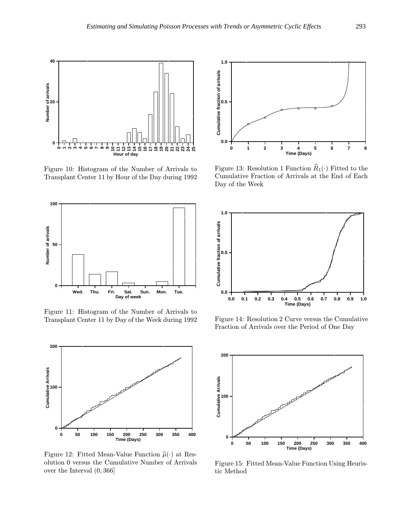

Figure 10: Histogram of the Number of Arrivals to Transplant Center 11 by Hour of the Day during 1992



Figure 11: Histogram of the Number of Arrivals to Transplant Center 11 by Day of the Week during 1992



Figure 12: Fitted Mean-Value Function  $\hat{\mu}(\cdot)$  at Resolution 0 versus the Cumulative Number of Arrivals over the Interval (0, 366]



Figure 13: Resolution 1 Function  $\widehat{R}_1(\cdot)$  Fitted to the Cumulative Fraction of Arrivals at the End of Each Day of the Week



Figure 14: Resolution 2 Curve versus the Cumulative Fraction of Arrivals over the Period of One Day



Figure 15: Fitted Mean-Value Function Using Heuristic Method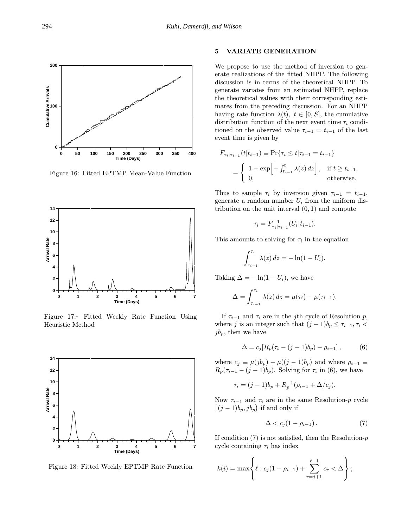

Figure 16: Fitted EPTMP Mean-Value Function



Figure 17: Fitted Weekly Rate Function Using Heuristic Method



Figure 18: Fitted Weekly EPTMP Rate Function

# 5 VARIATE GENERATION

We propose to use the method of inversion to generate realizations of the fitted NHPP. The following discussion is in terms of the theoretical NHPP. To generate variates from an estimated NHPP, replace the theoretical values with their corresponding estimates from the preceding discussion. For an NHPP having rate function  $\lambda(t)$ ,  $t \in [0, S]$ , the cumulative distribution function of the next event time  $\tau_i$  conditioned on the observed value  $\tau_{i-1} = t_{i-1}$  of the last event time is given by

$$
F_{\tau_i|\tau_{i-1}}(t|t_{i-1}) \equiv \Pr{\tau_i \le t|\tau_{i-1} = t_{i-1}}
$$
  
= 
$$
\begin{cases} 1 - \exp\left[-\int_{t_{i-1}}^t \lambda(z) dz\right], & \text{if } t \ge t_{i-1}, \\ 0, & \text{otherwise.} \end{cases}
$$

Thus to sample  $\tau_i$  by inversion given  $\tau_{i-1} = t_{i-1}$ , generate a random number  $U_i$  from the uniform distribution on the unit interval  $(0, 1)$  and compute

$$
\tau_i = F_{\tau_i|\tau_{i-1}}^{-1}(U_i|t_{i-1}).
$$

This amounts to solving for  $\tau_i$  in the equation

$$
\int_{\tau_{i-1}}^{\tau_i} \lambda(z) dz = -\ln(1-U_i).
$$

Taking  $\Delta = -\ln(1 - U_i)$ , we have

$$
\Delta = \int_{\tau_{i-1}}^{\tau_i} \lambda(z) dz = \mu(\tau_i) - \mu(\tau_{i-1}).
$$

If  $\tau_{i-1}$  and  $\tau_i$  are in the j<sup>th</sup> cycle of Resolution p, where j is an integer such that  $(j-1)b_p \leq \tau_{i-1}, \tau_i$  $jb_p$ , then we have

$$
\Delta = c_j [R_p(\tau_i - (j-1)b_p) - \rho_{i-1}], \tag{6}
$$

where  $c_j \equiv \mu(jb_p) - \mu((j-1)b_p)$  and where  $\rho_{i-1} \equiv$  $R_p(\tau_{i-1}-(j-1)b_p)$ . Solving for  $\tau_i$  in (6), we have

$$
\tau_i = (j-1)b_p + R_p^{-1}(\rho_{i-1} + \Delta/c_j).
$$

Now  $\tau_{i-1}$  and  $\tau_i$  are in the same Resolution-p cycle  $[(j-1)b_p, jb_p]$  if and only if

$$
\Delta < c_j(1 - \rho_{i-1}).\tag{7}
$$

If condition  $(7)$  is not satisfied, then the Resolution- $p$ cycle containing  $\tau_i$  has index

$$
k(i) = \max \left\{ \ell : c_j(1 - \rho_{i-1}) + \sum_{r=j+1}^{\ell-1} c_r < \Delta \right\};
$$